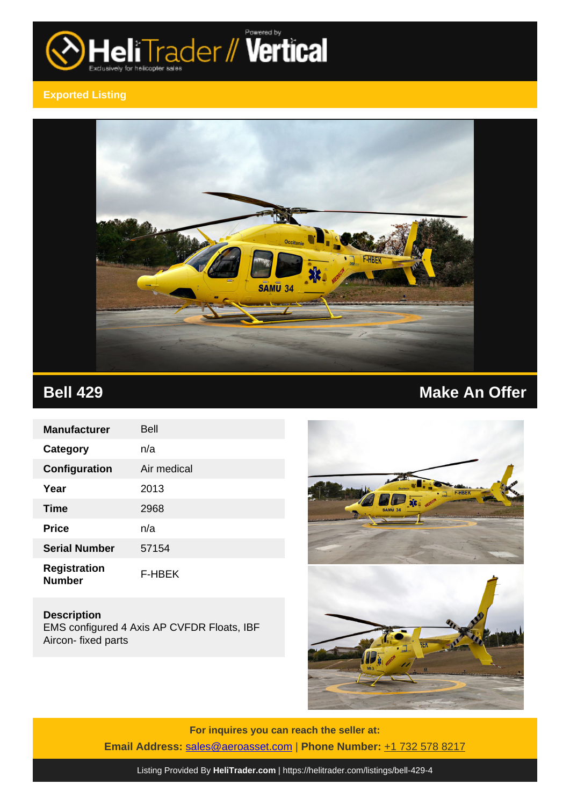

## **Exported Listing**



| <b>Manufacturer</b>                  | Bell        |
|--------------------------------------|-------------|
| Category                             | n/a         |
| Configuration                        | Air medical |
| Year                                 | 2013        |
| <b>Time</b>                          | 2968        |
| <b>Price</b>                         | n/a         |
| <b>Serial Number</b>                 | 57154       |
| <b>Registration</b><br><b>Number</b> | F-HBEK      |

**Description** EMS configured 4 Axis AP CVFDR Floats, IBF Aircon- fixed parts





**For inquires you can reach the seller at: Email Address:** [sales@aeroasset.com](mailto:sales@aeroasset.com,) | **Phone Number:** +1 732 578 8217

Listing Provided By **[HeliTrader.com](https://helitrader.com)** | <https://helitrader.com/listings/bell-429-4>

## **Bell 429 Make An Offer**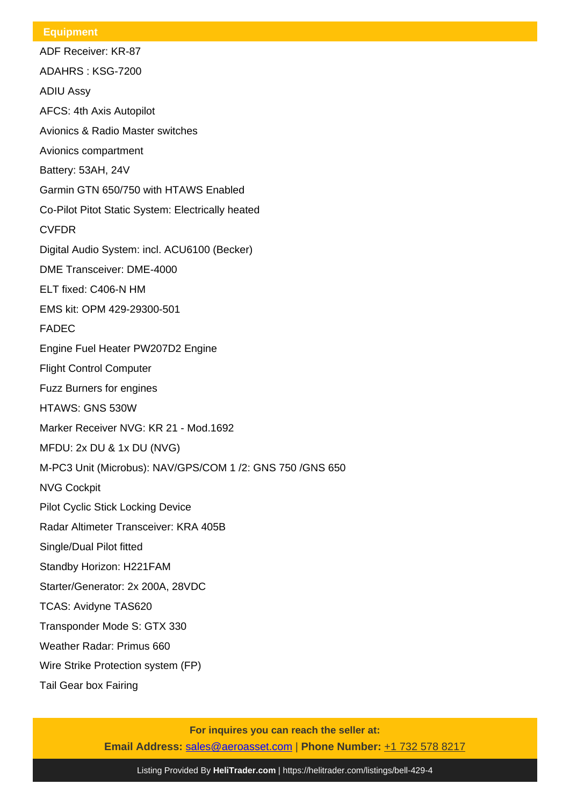## **Equipment**

ADF Receiver: KR-87 ADAHRS : KSG-7200 ADIU Assy AFCS: 4th Axis Autopilot Avionics & Radio Master switches Avionics compartment Battery: 53AH, 24V Garmin GTN 650/750 with HTAWS Enabled Co-Pilot Pitot Static System: Electrically heated CVFDR Digital Audio System: incl. ACU6100 (Becker) DME Transceiver: DME-4000 ELT fixed: C406-N HM EMS kit: OPM 429-29300-501 FADEC Engine Fuel Heater PW207D2 Engine Flight Control Computer Fuzz Burners for engines HTAWS: GNS 530W Marker Receiver NVG: KR 21 - Mod.1692 MFDU: 2x DU & 1x DU (NVG) M-PC3 Unit (Microbus): NAV/GPS/COM 1 /2: GNS 750 /GNS 650 NVG Cockpit Pilot Cyclic Stick Locking Device Radar Altimeter Transceiver: KRA 405B Single/Dual Pilot fitted Standby Horizon: H221FAM Starter/Generator: 2x 200A, 28VDC TCAS: Avidyne TAS620 Transponder Mode S: GTX 330 Weather Radar: Primus 660 Wire Strike Protection system (FP)

Tail Gear box Fairing

**For inquires you can reach the seller at: Email Address:** [sales@aeroasset.com](mailto:sales@aeroasset.com,) | **Phone Number:** +1 732 578 8217

Listing Provided By **[HeliTrader.com](https://helitrader.com)** | <https://helitrader.com/listings/bell-429-4>